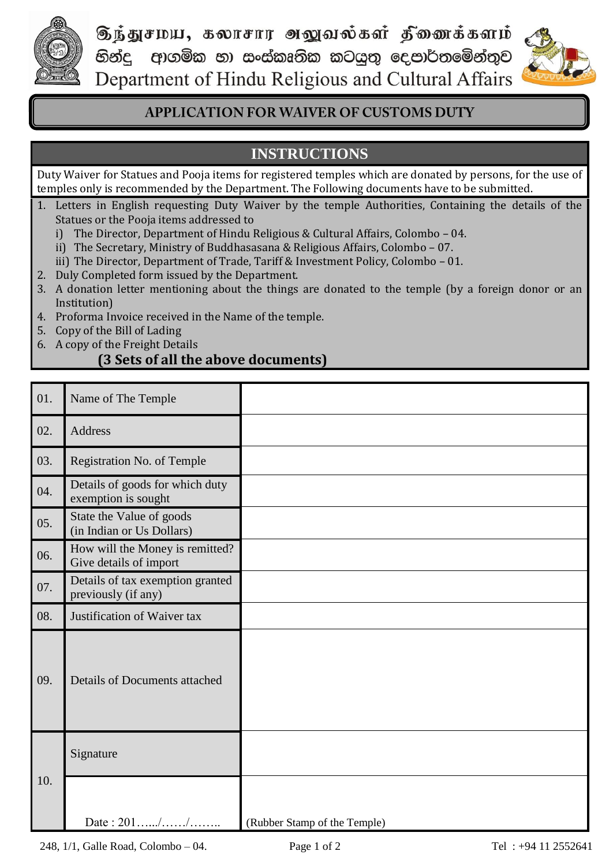

டுந்துசமய, கலாசார அலுவல்கள் தீணைக்களம் හින්දු ආගමික හා සංස්කෘතික කටයුතු දෙපාර්තමේන්තුව Department of Hindu Religious and Cultural Affairs



## **APPLICATION FOR WAIVER OF CUSTOMS DUTY**

# **INSTRUCTIONS**

Duty Waiver for Statues and Pooja items for registered temples which are donated by persons, for the use of temples only is recommended by the Department. The Following documents have to be submitted.

- 1. Letters in English requesting Duty Waiver by the temple Authorities, Containing the details of the Statues or the Pooja items addressed to
	- i) The Director, Department of Hindu Religious & Cultural Affairs, Colombo 04.
	- ii) The Secretary, Ministry of Buddhasasana & Religious Affairs, Colombo 07.
	- iii) The Director, Department of Trade, Tariff & Investment Policy, Colombo 01.
- 2. Duly Completed form issued by the Department.
- 3. A donation letter mentioning about the things are donated to the temple (by a foreign donor or an Institution)
- 4. Proforma Invoice received in the Name of the temple.
- 5. Copy of the Bill of Lading
- 6. A copy of the Freight Details

## **(3 Sets of all the above documents)**

| 01. | Name of The Temple                                        |                              |
|-----|-----------------------------------------------------------|------------------------------|
| 02. | Address                                                   |                              |
| 03. | Registration No. of Temple                                |                              |
| 04. | Details of goods for which duty<br>exemption is sought    |                              |
| 05. | State the Value of goods<br>(in Indian or Us Dollars)     |                              |
| 06. | How will the Money is remitted?<br>Give details of import |                              |
| 07. | Details of tax exemption granted<br>previously (if any)   |                              |
| 08. | Justification of Waiver tax                               |                              |
| 09. | Details of Documents attached                             |                              |
| 10. | Signature                                                 |                              |
|     | Date: 201//                                               | (Rubber Stamp of the Temple) |

248, 1/1, Galle Road, Colombo – 04. Page 1 of 2 Tel : +94 11 2552641